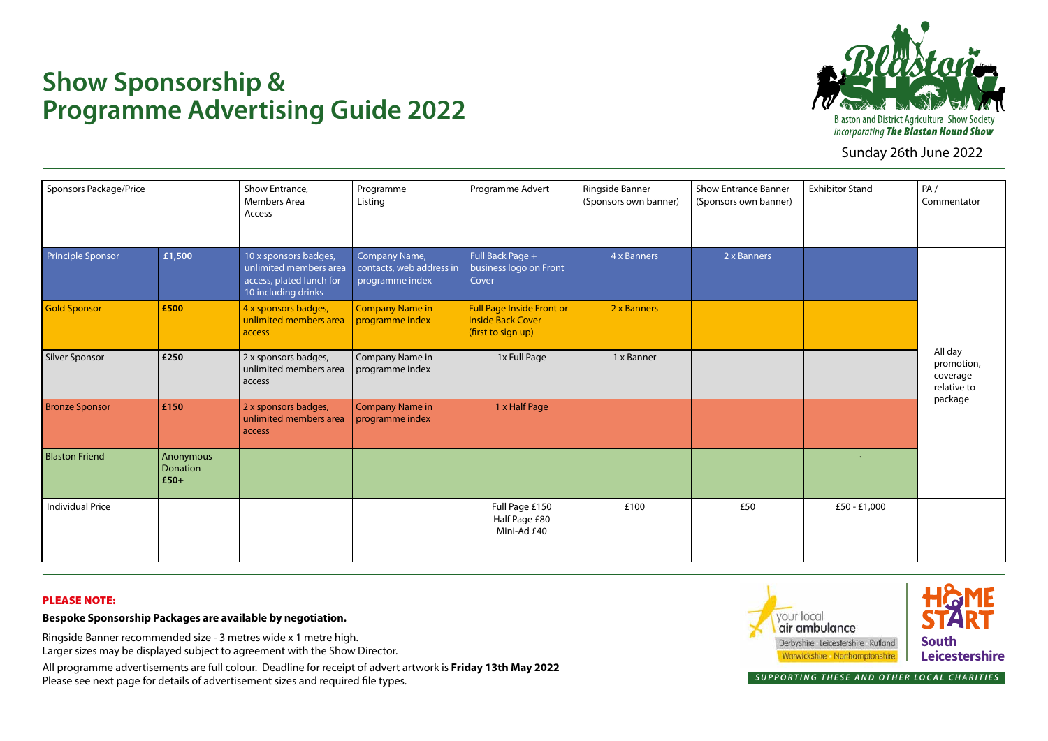

Sunday 26th June 2022

## **Show Sponsorship & Programme Advertising Guide 2022**

| Sponsors Package/Price  |                                        | Show Entrance,<br><b>Members Area</b><br>Access                                                    | Programme<br>Listing                                         | Programme Advert                                                                   | Ringside Banner<br>(Sponsors own banner) | <b>Show Entrance Banner</b><br>(Sponsors own banner) | <b>Exhibitor Stand</b> | PA/<br>Commentator                               |
|-------------------------|----------------------------------------|----------------------------------------------------------------------------------------------------|--------------------------------------------------------------|------------------------------------------------------------------------------------|------------------------------------------|------------------------------------------------------|------------------------|--------------------------------------------------|
| Principle Sponsor       | £1,500                                 | 10 x sponsors badges,<br>unlimited members area<br>access, plated lunch for<br>10 including drinks | Company Name,<br>contacts, web address in<br>programme index | Full Back Page +<br>business logo on Front<br>Cover                                | 4 x Banners                              | 2 x Banners                                          |                        | All day<br>promotion,<br>coverage<br>relative to |
| <b>Gold Sponsor</b>     | £500                                   | 4 x sponsors badges,<br>unlimited members area<br>access                                           | <b>Company Name in</b><br>programme index                    | <b>Full Page Inside Front or</b><br><b>Inside Back Cover</b><br>(first to sign up) | 2 x Banners                              |                                                      |                        |                                                  |
| Silver Sponsor          | £250                                   | 2 x sponsors badges,<br>unlimited members area<br>access                                           | Company Name in<br>programme index                           | 1x Full Page                                                                       | 1 x Banner                               |                                                      |                        |                                                  |
| <b>Bronze Sponsor</b>   | £150                                   | 2 x sponsors badges,<br>unlimited members area<br>access                                           | <b>Company Name in</b><br>programme index                    | 1 x Half Page                                                                      |                                          |                                                      |                        | package                                          |
| <b>Blaston Friend</b>   | Anonymous<br><b>Donation</b><br>$£50+$ |                                                                                                    |                                                              |                                                                                    |                                          |                                                      | $\ddot{\phantom{1}}$   |                                                  |
| <b>Individual Price</b> |                                        |                                                                                                    |                                                              | Full Page £150<br>Half Page £80<br>Mini-Ad £40                                     | £100                                     | £50                                                  | £50 - £1,000           |                                                  |

## PLEASE NOTE:

**Bespoke Sponsorship Packages are available by negotiation.**

Ringside Banner recommended size - 3 metres wide x 1 metre high. Larger sizes may be displayed subject to agreement with the Show Director.

All programme advertisements are full colour. Deadline for receipt of advert artwork is **Friday 13th May 2022** Please see next page for details of advertisement sizes and required file types.